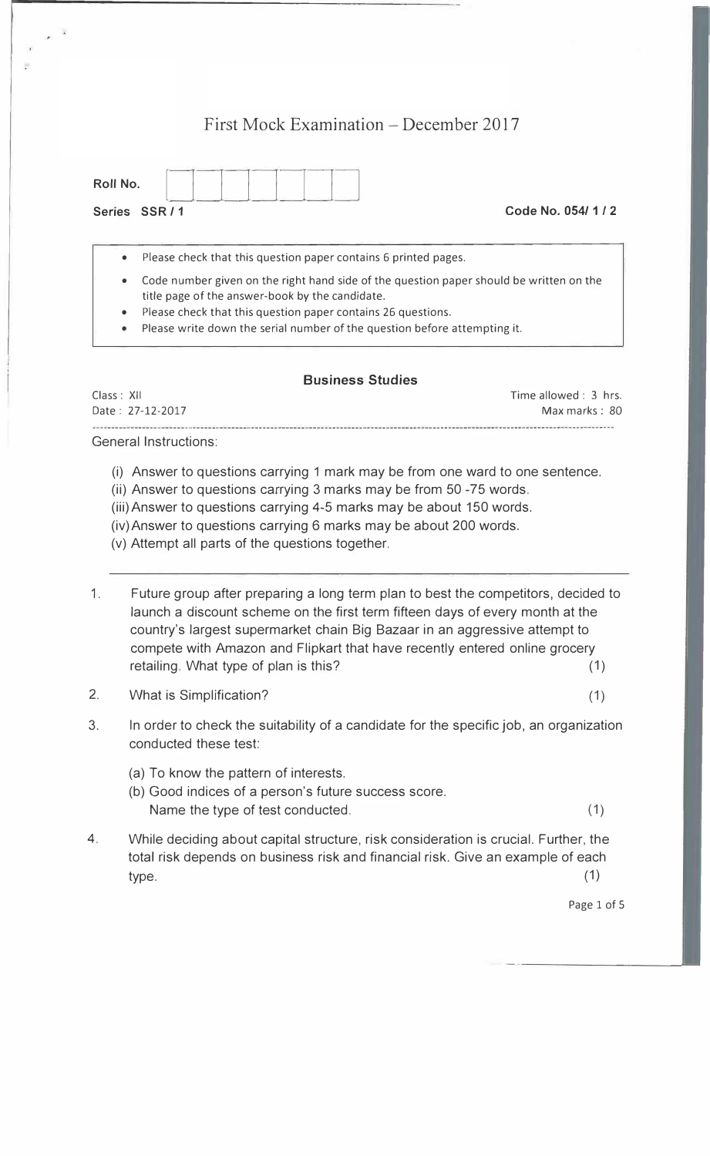## First Mock Examination – December 2017

| Roll No.          |       |  |  |  |
|-------------------|-------|--|--|--|
| $C - \frac{1}{2}$ | CCDI4 |  |  |  |

**Series SSR / 1 Code No. 054/ 1** *I* **2** 

• Please check that this question paper contains 6 printed pages.

- Code number given on the right hand side of the question paper should be written on the title page of the answer-book by the candidate.
- Please check that this question paper contains 26 questions.
- Please write down the serial number of the question before attempting it.

## **Business Studies**

| Class : XII      | Time allowed : 3 hrs. |
|------------------|-----------------------|
| Date: 27-12-2017 | Max marks: 80         |
|                  |                       |

General Instructions:

- (i) Answer to questions carrying 1 mark may be from one ward to one sentence.
- (ii) Answer to questions carrying 3 marks may be from 50 -75 words.
- (iii) Answer to questions carrying 4-5 marks may be about 150 words.
- (iv)Answer to questions carrying 6 marks may be about 200 words.
- (v) Attempt all parts of the questions together.
- 1. Future group after preparing a long term plan to best the competitors, decided to launch a discount scheme on the first term fifteen days of every month at the country's largest supermarket chain Big Bazaar in an aggressive attempt to compete with Amazon and Flipkart that have recently entered online grocery retailing. What type of plan is this? (1)
- 2. What is Simplification? (1)
- 3. In order to check the suitability of a candidate for the specific job, an organization conducted these test:
	- (a) To know the pattern of interests.
	- (b) Good indices of a person's future success score. Name the type of test conducted. (1) (1)
- 4. While deciding about capital structure, risk consideration is crucial. Further, the total risk depends on business risk and financial risk. Give an example of each  $type.$  (1)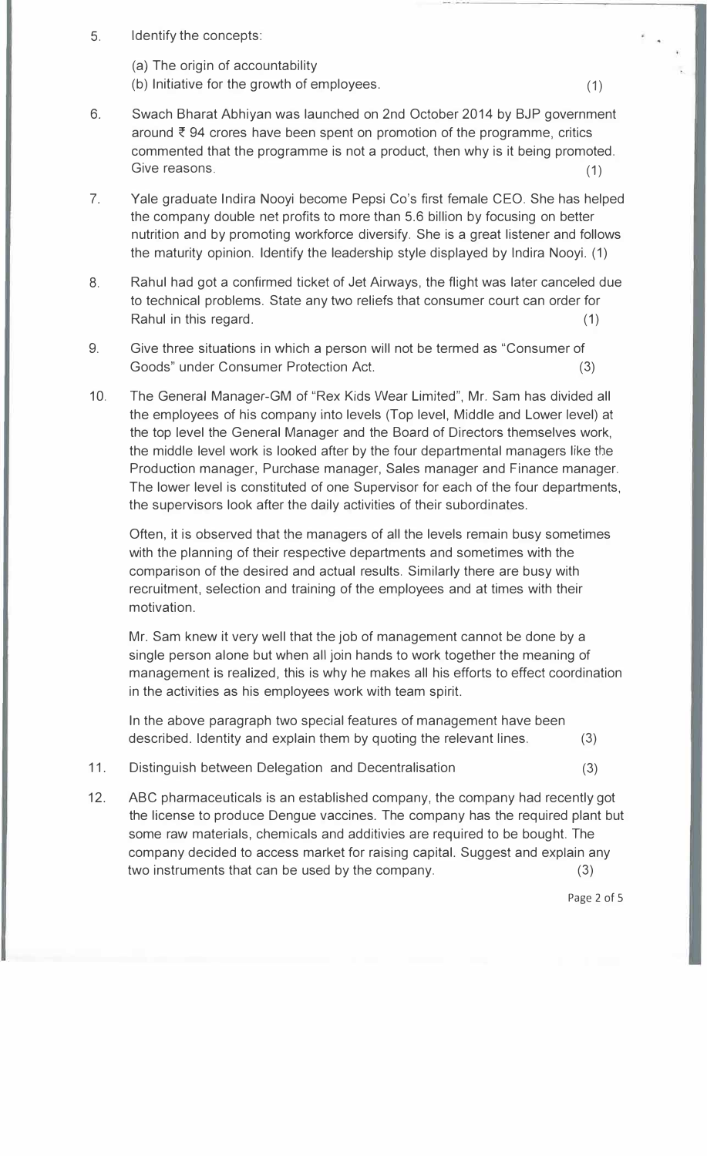- 5. Identify the concepts:
	- (a) The origin of accountability
	- (b) Initiative for the growth of employees. (1)
- 6. Swach Bharat Abhiyan was launched on 2nd October 2014 by BJP government around  $\bar{\tau}$  94 crores have been spent on promotion of the programme, critics commented that the programme is not a product, then why is it being promoted. Give reasons. (1) (1)
- 7. Yale graduate Indira Nooyi become Pepsi Co's first female CEO. She has helped the company double net profits to more than 5.6 billion by focusing on better nutrition and by promoting workforce diversify. She is a great listener and follows the maturity opinion. Identify the leadership style displayed by Indira Nooyi. (1)
- 8. Rahul had got a confirmed ticket of Jet Airways, the flight was later canceled due to technical problems. State any two reliefs that consumer court can order for Rahul in this regard. (1)
- 9. Give three situations in which a person will not be termed as "Consumer of Goods" under Consumer Protection Act. (3)
- 10. The General Manager-GM of "Rex Kids Wear Limited", Mr. Sam has divided all the employees of his company into levels (Top level, Middle and Lower level) at the top level the General Manager and the Board of Directors themselves work, the middle level work is looked after by the four departmental managers like the Production manager, Purchase manager, Sales manager and Finance manager. The lower level is constituted of one Supervisor for each of the four departments, the supervisors look after the daily activities of their subordinates.

Often, it is observed that the managers of all the levels remain busy sometimes with the planning of their respective departments and sometimes with the comparison of the desired and actual results. Similarly there are busy with recruitment, selection and training of the employees and at times with their motivation.

Mr. Sam knew it very well that the job of management cannot be done by a single person alone but when all join hands to work together the meaning of management is realized, this is why he makes all his efforts to effect coordination in the activities as his employees work with team spirit.

In the above paragraph two special features of management have been described. Identity and explain them by quoting the relevant lines. (3)

- 11. Distinguish between Delegation and Decentralisation (3)
- 12. ABC pharmaceuticals is an established company, the company had recently got the license to produce Dengue vaccines. The company has the required plant but some raw materials, chemicals and additivies are required to be bought. The company decided to access market for raising capital. Suggest and explain any two instruments that can be used by the company. (3)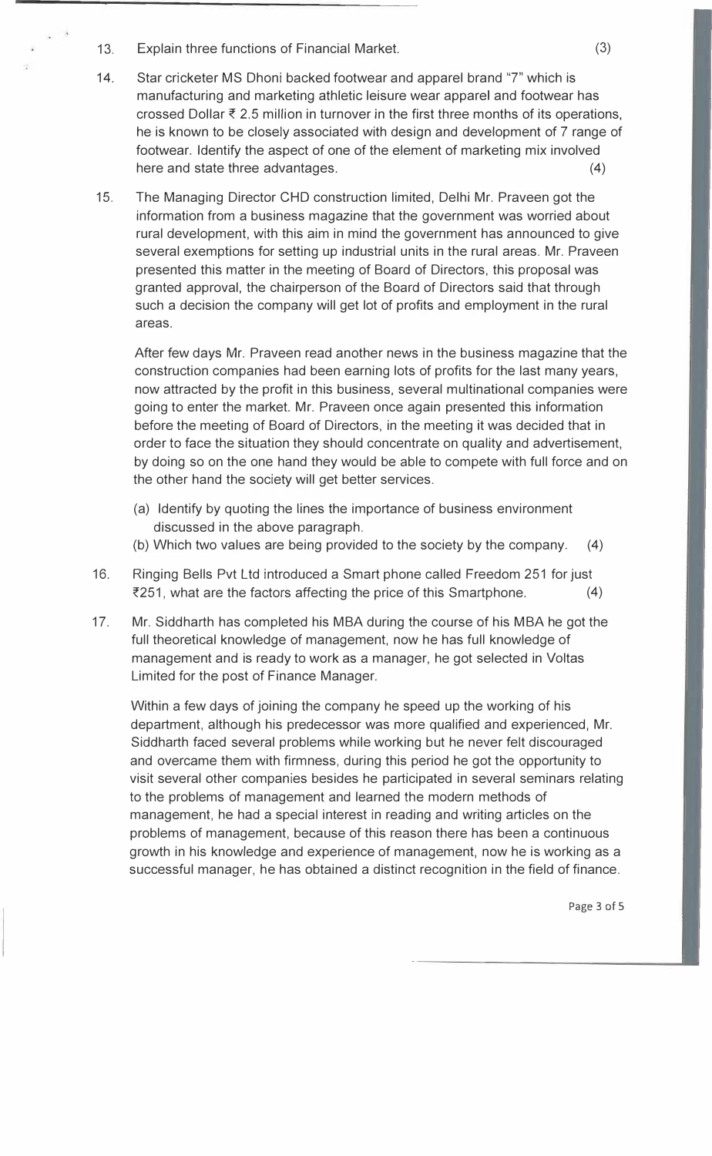- 13. Explain three functions of Financial Market. (3)
- 14. Star cricketer MS Dhoni backed footwear and apparel brand "7" which is manufacturing and marketing athletic leisure wear apparel and footwear has crossed Dollar  $\bar{\tau}$  2.5 million in turnover in the first three months of its operations, he is known to be closely associated with design and development of 7 range of footwear. Identify the aspect of one of the element of marketing mix involved here and state three advantages. (4)
- 15. The Managing Director CHO construction limited, Delhi Mr. Praveen got the information from a business magazine that the government was worried about rural development, with this aim in mind the government has announced to give several exemptions for setting up industrial units in the rural areas. Mr. Praveen presented this matter in the meeting of Board of Directors, this proposal was granted approval, the chairperson of the Board of Directors said that through such a decision the company will get lot of profits and employment in the rural areas.

After few days Mr. Praveen read another news in the business magazine that the construction companies had been earning lots of profits for the last many years, now attracted by the profit in this business, several multinational companies were going to enter the market. Mr. Praveen once again presented this information before the meeting of Board of Directors, in the meeting it was decided that in order to face the situation they should concentrate on quality and advertisement, by doing so on the one hand they would be able to compete with full force and on the other hand the society will get better services.

- (a) Identify by quoting the lines the importance of business environment discussed in the above paragraph.
- (b) Which two values are being provided to the society by the company. (4)
- 16. Ringing Bells Pvt Ltd introduced a Smart phone called Freedom 251 for just  $\overline{z}251$ , what are the factors affecting the price of this Smartphone. (4)
- 17. Mr. Siddharth has completed his MBA during the course of his MBA he got the full theoretical knowledge of management, now he has full knowledge of management and is ready to work as a manager, he got selected in Valtas Limited for the post of Finance Manager.

Within a few days of joining the company he speed up the working of his department, although his predecessor was more qualified and experienced, Mr. Siddharth faced several problems while working but he never felt discouraged and overcame them with firmness, during this period he got the opportunity to visit several other companies besides he participated in several seminars relating to the problems of management and learned the modern methods of management, he had a special interest in reading and writing articles on the problems of management, because of this reason there has been a continuous growth in his knowledge and experience of management, now he is working as a successful manager, he has obtained a distinct recognition in the field of finance.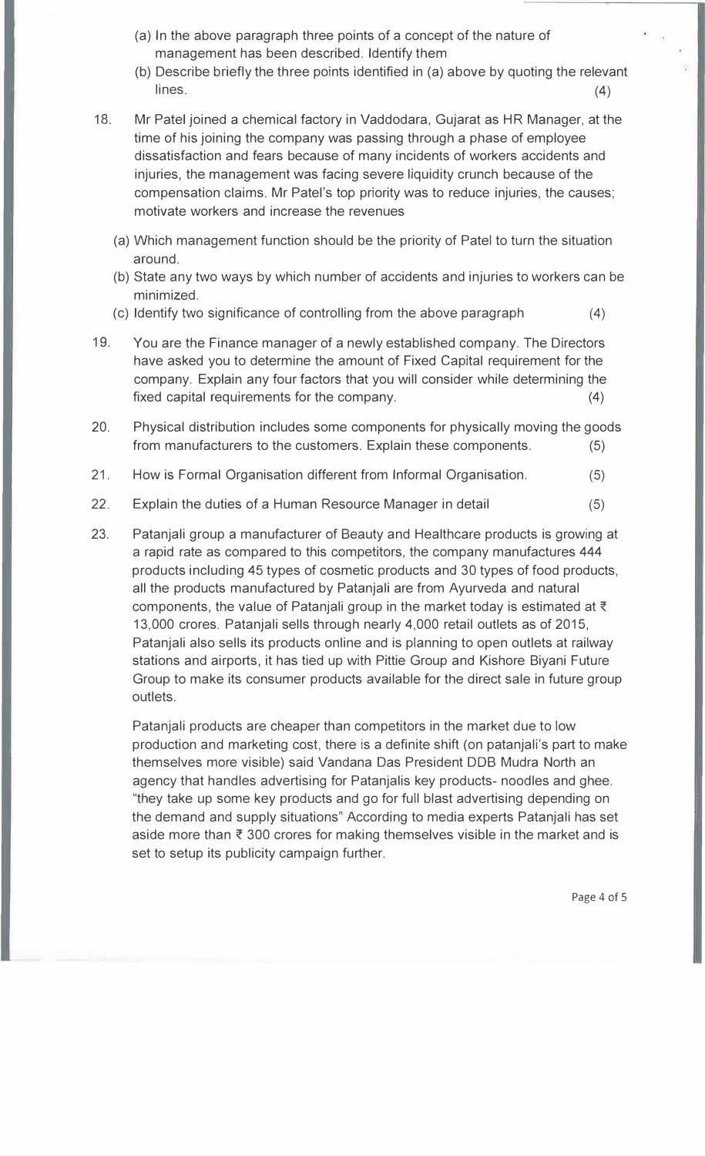- (a) In the above paragraph three points of a concept of the nature of management has been described. Identify them
- (b) Describe briefly the three points identified in (a) above by quoting the relevant  $lines.$  (4)
- 18. Mr Patel joined a chemical factory in Vaddodara, Gujarat as HR Manager, at the time of his joining the company was passing through a phase of employee dissatisfaction and fears because of many incidents of workers accidents and injuries, the management was facing severe liquidity crunch because of the compensation claims. Mr Patel's top priority was to reduce injuries, the causes; motivate workers and increase the revenues
	- (a) Which management function should be the priority of Patel to turn the situation around.
	- (b) State any two ways by which number of accidents and injuries to workers can be minimized.
	- (c) Identify two significance of controlling from the above paragraph (4)
- 19. You are the Finance manager of a newly established company. The Directors have asked you to determine the amount of Fixed Capital requirement for the company. Explain any four factors that you will consider while determining the fixed capital requirements for the company. (4)
- 20. Physical distribution includes some components for physically moving the goods from manufacturers to the customers. Explain these components. (5)
- 21. How is Formal Organisation different from Informal Organisation. (5)
- 22. Explain the duties of a Human Resource Manager in detail (5)
- 23. Patanjali group a manufacturer of Beauty and Healthcare products is growing at a rapid rate as compared to this competitors, the company manufactures 444 products including 45 types of cosmetic products and 30 types of food products, all the products manufactured by Patanjali are from Ayurveda and natural components, the value of Patanjali group in the market today is estimated at  $\bar{\tau}$ 13,000 crores. Patanjali sells through nearly 4,000 retail outlets as of 2015, Patanjali also sells its products online and is planning to open outlets at railway stations and airports, it has tied up with Pittie Group and Kishore Biyani Future Group to make its consumer products available for the direct sale in future group outlets.

Patanjali products are cheaper than competitors in the market due to low production and marketing cost, there is a definite shift (on patanjali's part to make themselves more visible) said Vandana Das President DOB Mudra North an agency that handles advertising for Patanjalis key products- noodles and ghee. "they take up some key products and go for full blast advertising depending on the demand and supply situations" According to media experts Patanjali has set aside more than  $\bar{\tau}$  300 crores for making themselves visible in the market and is set to setup its publicity campaign further.